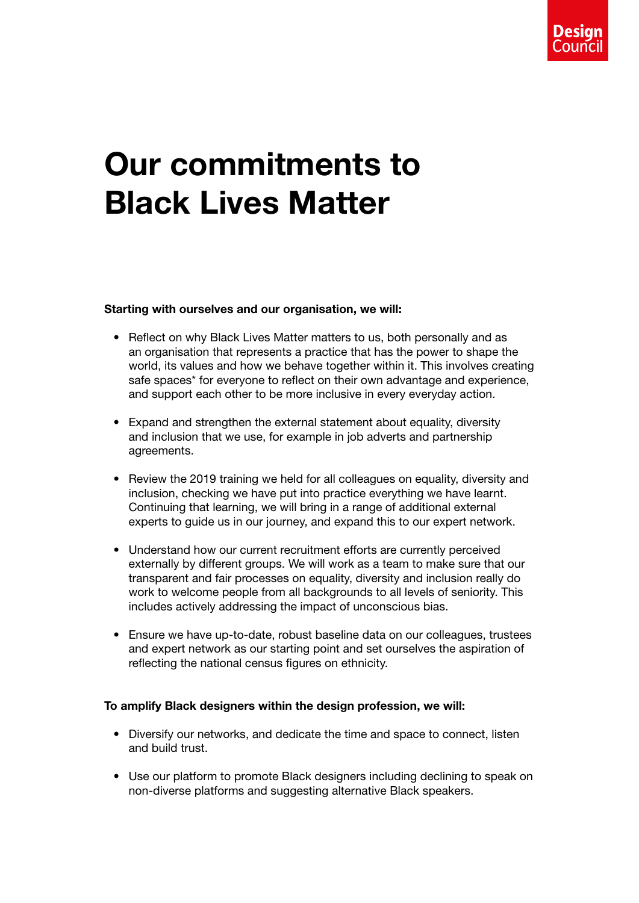

## Our commitments to Black Lives Matter

## Starting with ourselves and our organisation, we will:

- Reflect on why Black Lives Matter matters to us, both personally and as an organisation that represents a practice that has the power to shape the world, its values and how we behave together within it. This involves creating safe spaces\* for everyone to reflect on their own advantage and experience, and support each other to be more inclusive in every everyday action.
- Expand and strengthen the external statement about equality, diversity and inclusion that we use, for example in job adverts and partnership agreements.
- Review the 2019 training we held for all colleagues on equality, diversity and inclusion, checking we have put into practice everything we have learnt. Continuing that learning, we will bring in a range of additional external experts to guide us in our journey, and expand this to our expert network.
- Understand how our current recruitment efforts are currently perceived externally by different groups. We will work as a team to make sure that our transparent and fair processes on equality, diversity and inclusion really do work to welcome people from all backgrounds to all levels of seniority. This includes actively addressing the impact of unconscious bias.
- Ensure we have up-to-date, robust baseline data on our colleagues, trustees and expert network as our starting point and set ourselves the aspiration of reflecting the national census figures on ethnicity.

## To amplify Black designers within the design profession, we will:

- Diversify our networks, and dedicate the time and space to connect, listen and build trust.
- Use our platform to promote Black designers including declining to speak on non-diverse platforms and suggesting alternative Black speakers.